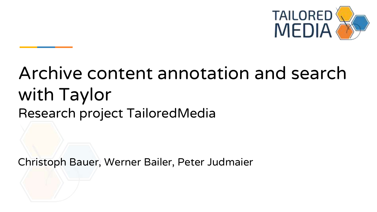

# Archive content annotation and search with Taylor Research project TailoredMedia

Christoph Bauer, Werner Bailer, Peter Judmaier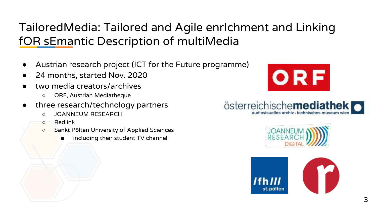### TailoredMedia: Tailored and Agile enrIchment and Linking fOR sEmantic Description of multiMedia

- Austrian research project (ICT for the Future programme)
- 24 months, started Nov. 2020
- two media creators/archives
	- ORF, Austrian Mediatheque
- three research/technology partners
	- JOANNEUM RESEARCH
	- Redlink
	- Sankt Pölten University of Applied Sciences
		- including their student TV channel







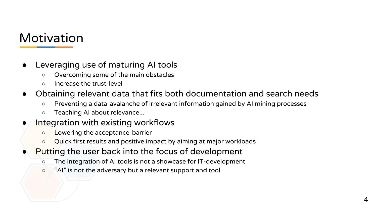#### Motivation

- Leveraging use of maturing AI tools
	- Overcoming some of the main obstacles
	- Increase the trust-level
- Obtaining relevant data that fits both documentation and search needs
	- Preventing a data-avalanche of irrelevant information gained by AI mining processes
	- Teaching AI about relevance...
- Integration with existing workflows
	- Lowering the acceptance-barrier
	- Quick first results and positive impact by aiming at major workloads
- Putting the user back into the focus of development
	- The integration of AI tools is not a showcase for IT-development
	- "AI" is not the adversary but a relevant support and tool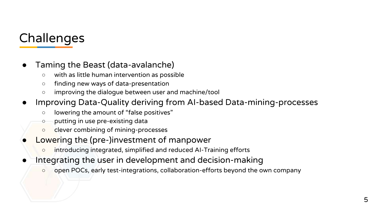# **Challenges**

- Taming the Beast (data-avalanche)
	- with as little human intervention as possible
	- finding new ways of data-presentation
	- improving the dialogue between user and machine/tool
- Improving Data-Quality deriving from AI-based Data-mining-processes
	- lowering the amount of "false positives"
	- putting in use pre-existing data
	- clever combining of mining-processes
- Lowering the (pre-)investment of manpower
	- introducing integrated, simplified and reduced AI-Training efforts
- Integrating the user in development and decision-making
	- open POCs, early test-integrations, collaboration-efforts beyond the own company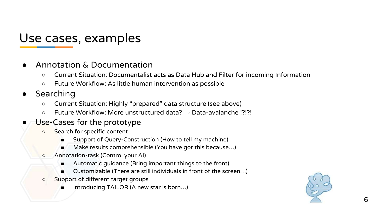#### Use cases, examples

- Annotation & Documentation
	- Current Situation: Documentalist acts as Data Hub and Filter for incoming Information
	- Future Workflow: As little human intervention as possible
- Searching
	- Current Situation: Highly "prepared" data structure (see above)
	- Future Workflow: More unstructured data? → Data-avalanche !?!?!

#### Use-Cases for the prototype

- Search for specific content
	- Support of Query-Construction (How to tell my machine)
	- Make results comprehensible (You have got this because...)
- Annotation-task (Control your AI)
	- Automatic guidance (Bring important things to the front)
	- Customizable (There are still individuals in front of the screen...)
- Support of different target groups
	- Introducing TAILOR (A new star is born...)

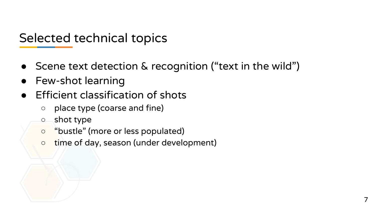Selected technical topics

- Scene text detection & recognition ("text in the wild")
- Few-shot learning
- Efficient classification of shots
	- place type (coarse and fine)
	- shot type
	- "bustle" (more or less populated)
	- time of day, season (under development)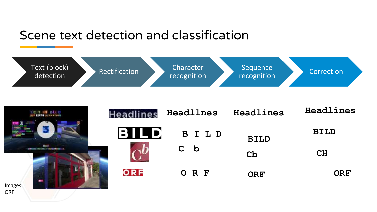#### Scene text detection and classification



|                | <b>ZEITIM BL.D</b><br>Ku Ricon Sigeation |  |  |
|----------------|------------------------------------------|--|--|
|                |                                          |  |  |
|                | m<br>mosexas                             |  |  |
|                |                                          |  |  |
| Images:<br>ODE |                                          |  |  |

| Headlines       | Headllnes | Headlines   | Headlines   |
|-----------------|-----------|-------------|-------------|
| ٠ı<br>IQD)<br>В | BILD      | <b>BILD</b> | <b>BILD</b> |
|                 | $C$ b     | Cb          | CH          |
| ORF             | ORF       | ORF         | <b>ORF</b>  |

ORF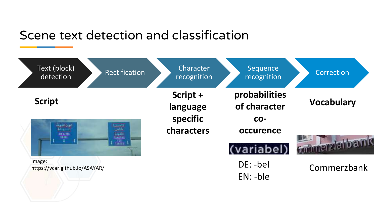#### Scene text detection and classification

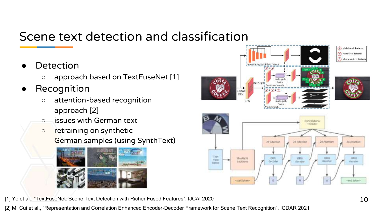### Scene text detection and classification

- **Detection** 
	- approach based on TextFuseNet [1]
- Recognition
	- attention-based recognition approach [2]
	- issues with German text
	- retraining on synthetic German samples (using SynthText)





[2] M. Cui et al., "Representation and Correlation Enhanced Encoder-Decoder Framework for Scene Text Recognition", ICDAR 2021

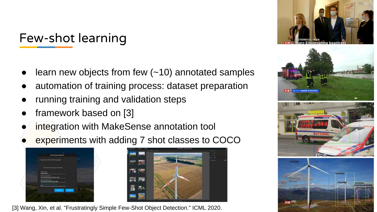Few-shot learning

- learn new objects from few  $(-10)$  annotated samples
- automation of training process: dataset preparation
- running training and validation steps
- framework based on [3]
- integration with MakeSense annotation tool
- experiments with adding 7 shot classes to COCO





[3] Wang, Xin, et al. "Frustratingly Simple Few-Shot Object Detection." ICML 2020.

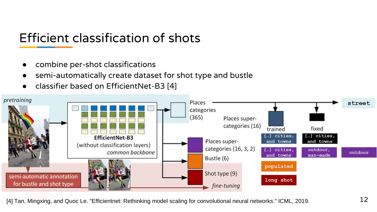## Efficient classification of shots

- combine per-shot classifications
- semi-automatically create dataset for shot type and bustle
- classifier based on EfficientNet-B3 [4]



[4] Tan, Mingxing, and Quoc Le. "Efficientnet: Rethinking model scaling for convolutional neural networks." ICML, 2019. 12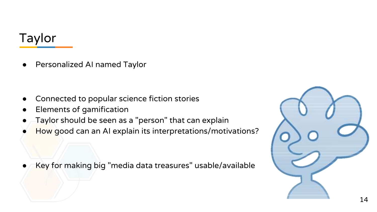### Taylor

● Personalized AI named Taylor

- Connected to popular science fiction stories
- **Elements of gamification**
- Taylor should be seen as a "person" that can explain
- How good can an AI explain its interpretations/motivations?

Key for making big "media data treasures" usable/available

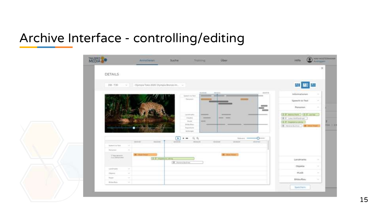### Archive Interface - controlling/editing

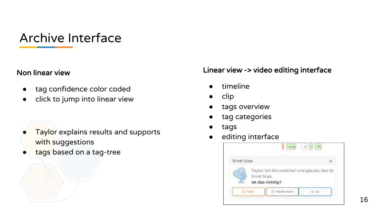### Archive Interface

#### Non linear view

- tag confidence color coded
- click to jump into linear view

- Taylor explains results and supports with suggestions
- tags based on a tag-tree

#### Linear view -> video editing interface

- timeline
- clip
- tags overview
- tag categories
- tags
- editing interface

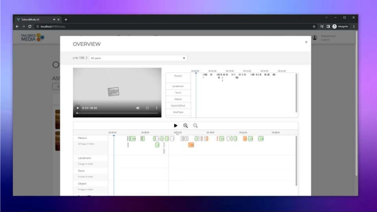| V TalorudMuda UI<br>$+ x +$                                                                                                                                                                                                                                                                                                                                                                                                                                                                       |                                                                                                                                                                                                                                                            | $\mathbf{v} = \mathbf{u} \times$ |
|---------------------------------------------------------------------------------------------------------------------------------------------------------------------------------------------------------------------------------------------------------------------------------------------------------------------------------------------------------------------------------------------------------------------------------------------------------------------------------------------------|------------------------------------------------------------------------------------------------------------------------------------------------------------------------------------------------------------------------------------------------------------|----------------------------------|
| $\leftarrow$ $\rightarrow$ $\leftarrow$ $\leftarrow$ $\leftarrow$ $\leftarrow$ $\leftarrow$ $\leftarrow$ $\leftarrow$ $\leftarrow$ $\leftarrow$ $\leftarrow$ $\leftarrow$ $\leftarrow$ $\leftarrow$ $\leftarrow$ $\leftarrow$ $\leftarrow$ $\leftarrow$ $\leftarrow$ $\leftarrow$ $\leftarrow$ $\leftarrow$ $\leftarrow$ $\leftarrow$ $\leftarrow$ $\leftarrow$ $\leftarrow$ $\leftarrow$ $\leftarrow$ $\leftarrow$ $\leftarrow$ $\leftarrow$ $\leftarrow$ $\leftarrow$ $\leftarrow$ $\leftarrow$ |                                                                                                                                                                                                                                                            | ☆   R/ D ● hiogrito              |
| <b>MEDIA</b>                                                                                                                                                                                                                                                                                                                                                                                                                                                                                      |                                                                                                                                                                                                                                                            | POSSIBLES<br>0                   |
|                                                                                                                                                                                                                                                                                                                                                                                                                                                                                                   | OVERVIEW                                                                                                                                                                                                                                                   | <b>Higgson</b><br>$\chi$         |
|                                                                                                                                                                                                                                                                                                                                                                                                                                                                                                   | c-tv 159. > All parts<br>$\bullet$                                                                                                                                                                                                                         |                                  |
| AS                                                                                                                                                                                                                                                                                                                                                                                                                                                                                                | 89, 89, 91<br>222222<br>88, 99, 99<br>$=11.02$<br>012128<br>3224.92<br><b>Porson</b><br><b>Allen Controllers</b><br>$-10 - 1$<br>m<br>n.<br>Limitmore<br><b>Lear</b><br>Tairm<br>DE(net-<br>Speech2Rost<br>$0.51 - 1$<br>$9 - 0.13 / 26.65$<br>ShofType    |                                  |
|                                                                                                                                                                                                                                                                                                                                                                                                                                                                                                   | $\blacktriangleright$ Q Q<br>$\frac{1}{2}$<br>46,29,00 000<br>miston.<br>20.19.00<br>50,00.00<br>soone:<br>00000 000 0000 10000 000 00<br>$I = 0$<br>Person.<br>33 logs in time<br>G<br>Landmark<br>(https://etmail.<br>Term<br>O DOINT IT SHOW<br>Object: |                                  |
|                                                                                                                                                                                                                                                                                                                                                                                                                                                                                                   | O tuga in total                                                                                                                                                                                                                                            |                                  |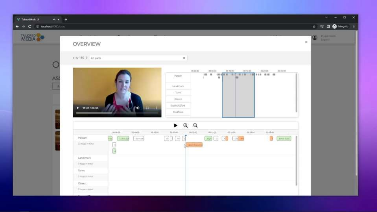| V TalorofModel UI<br>$+ x +$ |                                                                                                                                                                                                                                                                                                                                                                | $\Box$ x<br>$V = -1$                   |
|------------------------------|----------------------------------------------------------------------------------------------------------------------------------------------------------------------------------------------------------------------------------------------------------------------------------------------------------------------------------------------------------------|----------------------------------------|
| → C © localbost:000/tasks    |                                                                                                                                                                                                                                                                                                                                                                | ☆   V    ● hiogrito                    |
| <b>MEDIA</b><br>AS           | OVERVIEW                                                                                                                                                                                                                                                                                                                                                       | $\bullet$ $\bullet$<br>$\mathcal{N}_1$ |
|                              | c-tv 159 > All jierti<br>$\bullet$<br>80,00.03<br>212122<br>8010-01<br>10111-02<br>002026<br>10.01.32<br>1100<br><b>Porson</b><br>$\mathbf{u}$<br>m<br>Langmark<br>Term<br>Object<br>Speech2Rost<br>$+ 11.37/26.55$<br>$22 - 41$                                                                                                                               |                                        |
|                              | ShotType:<br>QQ<br>٠<br>30 16:00<br>ototo:<br>0010400<br>op.ta.m.<br>00.14.00<br>10100<br>00.11.00<br>001000<br>$=19.05$<br>00 Q G<br>$\boxed{30}$ $\boxed{30}$ $\boxed{30}$<br>res<br>Person.<br>я<br><b>Emil fund</b><br>Libra 13<br>Samuel.<br>33 logs in lotal<br>日間<br><b>Stephen Lena</b><br>Landmark<br><b>Braga</b> mitman<br>Term<br>O Drawing Hotter |                                        |
|                              | Coject:<br>Ongement                                                                                                                                                                                                                                                                                                                                            |                                        |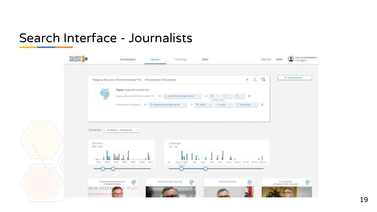#### Search Interface - Journalists

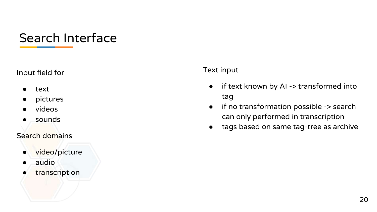#### Search Interface

#### Input field for

- text
- pictures
- videos
- sounds

#### Search domains

- video/picture
- audio
- transcription

#### Text input

- if text known by AI -> transformed into tag
- if no transformation possible -> search can only performed in transcription
- tags based on same tag-tree as archive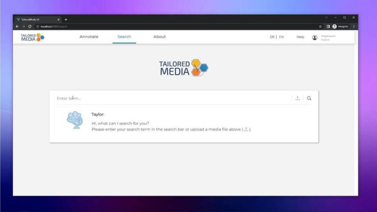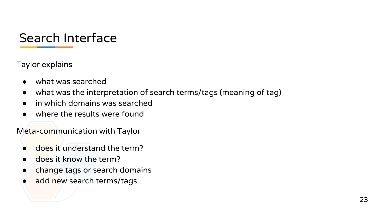### Search Interface

Taylor explains

- what was searched
- what was the interpretation of search terms/tags (meaning of tag)
- in which domains was searched
- where the results were found

Meta-communication with Taylor

- does it understand the term?
- does it know the term?
- change tags or search domains
- add new search terms/tags